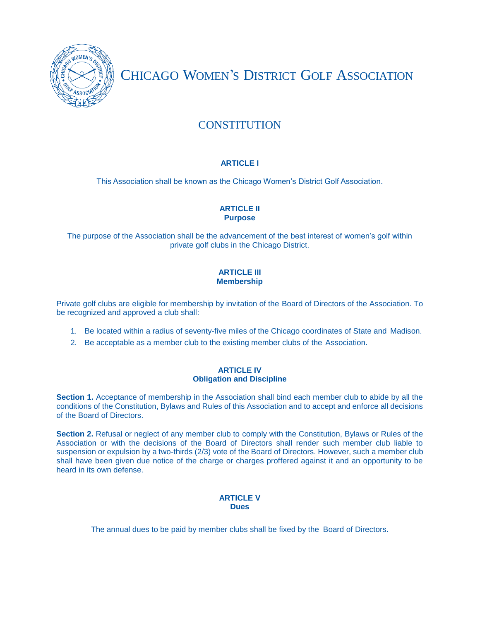

CHICAGO WOMEN'S DISTRICT GOLF ASSOCIATION

# **CONSTITUTION**

# **ARTICLE I**

This Association shall be known as the Chicago Women's District Golf Association.

# **ARTICLE II Purpose**

The purpose of the Association shall be the advancement of the best interest of women's golf within private golf clubs in the Chicago District.

# **ARTICLE III Membership**

Private golf clubs are eligible for membership by invitation of the Board of Directors of the Association. To be recognized and approved a club shall:

- 1. Be located within a radius of seventy-five miles of the Chicago coordinates of State and Madison.
- 2. Be acceptable as a member club to the existing member clubs of the Association.

## **ARTICLE IV Obligation and Discipline**

**Section 1.** Acceptance of membership in the Association shall bind each member club to abide by all the conditions of the Constitution, Bylaws and Rules of this Association and to accept and enforce all decisions of the Board of Directors.

**Section 2.** Refusal or neglect of any member club to comply with the Constitution, Bylaws or Rules of the Association or with the decisions of the Board of Directors shall render such member club liable to suspension or expulsion by a two-thirds (2/3) vote of the Board of Directors. However, such a member club shall have been given due notice of the charge or charges proffered against it and an opportunity to be heard in its own defense.

## **ARTICLE V Dues**

The annual dues to be paid by member clubs shall be fixed by the Board of Directors.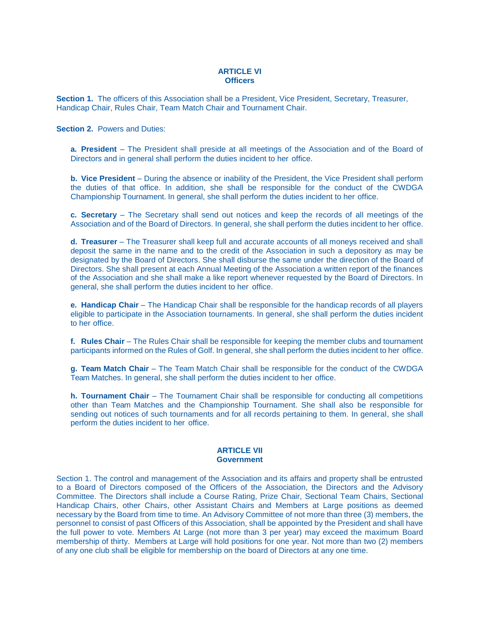#### **ARTICLE VI Officers**

**Section 1.** The officers of this Association shall be a President, Vice President, Secretary, Treasurer, Handicap Chair, Rules Chair, Team Match Chair and Tournament Chair.

**Section 2. Powers and Duties:** 

**a. President** – The President shall preside at all meetings of the Association and of the Board of Directors and in general shall perform the duties incident to her office.

**b. Vice President** – During the absence or inability of the President, the Vice President shall perform the duties of that office. In addition, she shall be responsible for the conduct of the CWDGA Championship Tournament. In general, she shall perform the duties incident to her office.

**c. Secretary** – The Secretary shall send out notices and keep the records of all meetings of the Association and of the Board of Directors. In general, she shall perform the duties incident to her office.

**d. Treasurer** – The Treasurer shall keep full and accurate accounts of all moneys received and shall deposit the same in the name and to the credit of the Association in such a depository as may be designated by the Board of Directors. She shall disburse the same under the direction of the Board of Directors. She shall present at each Annual Meeting of the Association a written report of the finances of the Association and she shall make a like report whenever requested by the Board of Directors. In general, she shall perform the duties incident to her office.

**e. Handicap Chair** – The Handicap Chair shall be responsible for the handicap records of all players eligible to participate in the Association tournaments. In general, she shall perform the duties incident to her office.

**f. Rules Chair** – The Rules Chair shall be responsible for keeping the member clubs and tournament participants informed on the Rules of Golf. In general, she shall perform the duties incident to her office.

**g. Team Match Chair** – The Team Match Chair shall be responsible for the conduct of the CWDGA Team Matches. In general, she shall perform the duties incident to her office.

**h. Tournament Chair** – The Tournament Chair shall be responsible for conducting all competitions other than Team Matches and the Championship Tournament. She shall also be responsible for sending out notices of such tournaments and for all records pertaining to them. In general, she shall perform the duties incident to her office.

#### **ARTICLE VII Government**

Section 1. The control and management of the Association and its affairs and property shall be entrusted to a Board of Directors composed of the Officers of the Association, the Directors and the Advisory Committee. The Directors shall include a Course Rating, Prize Chair, Sectional Team Chairs, Sectional Handicap Chairs, other Chairs, other Assistant Chairs and Members at Large positions as deemed necessary by the Board from time to time. An Advisory Committee of not more than three (3) members, the personnel to consist of past Officers of this Association, shall be appointed by the President and shall have the full power to vote. Members At Large (not more than 3 per year) may exceed the maximum Board membership of thirty. Members at Large will hold positions for one year. Not more than two (2) members of any one club shall be eligible for membership on the board of Directors at any one time.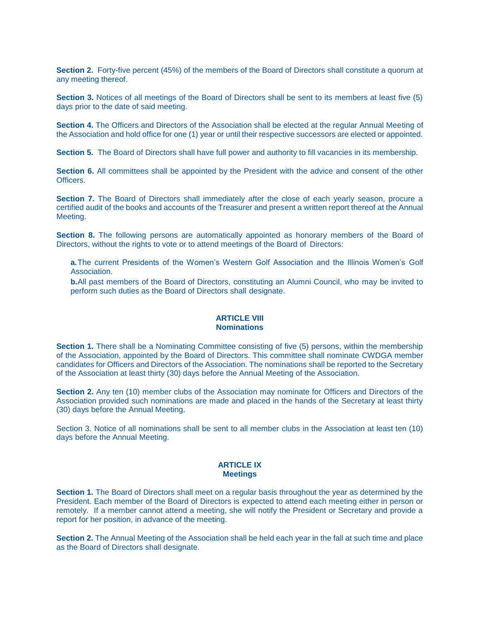**Section 2.** Forty-five percent (45%) of the members of the Board of Directors shall constitute a quorum at any meeting thereof.

**Section 3.** Notices of all meetings of the Board of Directors shall be sent to its members at least five (5) days prior to the date of said meeting.

**Section 4.** The Officers and Directors of the Association shall be elected at the regular Annual Meeting of the Association and hold office for one (1) year or until their respective successors are elected or appointed.

**Section 5.** The Board of Directors shall have full power and authority to fill vacancies in its membership.

**Section 6.** All committees shall be appointed by the President with the advice and consent of the other **Officers** 

**Section 7.** The Board of Directors shall immediately after the close of each yearly season, procure a certified audit of the books and accounts of the Treasurer and present a written report thereof at the Annual Meeting.

**Section 8.** The following persons are automatically appointed as honorary members of the Board of Directors, without the rights to vote or to attend meetings of the Board of Directors:

**a.**The current Presidents of the Women's Western Golf Association and the Illinois Women's Golf Association.

**b.**All past members of the Board of Directors, constituting an Alumni Council, who may be invited to perform such duties as the Board of Directors shall designate.

#### **ARTICLE VIII Nominations**

**Section 1.** There shall be a Nominating Committee consisting of five (5) persons, within the membership of the Association, appointed by the Board of Directors. This committee shall nominate CWDGA member candidates for Officers and Directors of the Association. The nominations shall be reported to the Secretary of the Association at least thirty (30) days before the Annual Meeting of the Association.

**Section 2.** Any ten (10) member clubs of the Association may nominate for Officers and Directors of the Association provided such nominations are made and placed in the hands of the Secretary at least thirty (30) days before the Annual Meeting.

Section 3. Notice of all nominations shall be sent to all member clubs in the Association at least ten (10) days before the Annual Meeting.

#### **ARTICLE IX Meetings**

**Section 1.** The Board of Directors shall meet on a regular basis throughout the year as determined by the President. Each member of the Board of Directors is expected to attend each meeting either in person or remotely. If a member cannot attend a meeting, she will notify the President or Secretary and provide a report for her position, in advance of the meeting.

**Section 2.** The Annual Meeting of the Association shall be held each year in the fall at such time and place as the Board of Directors shall designate.